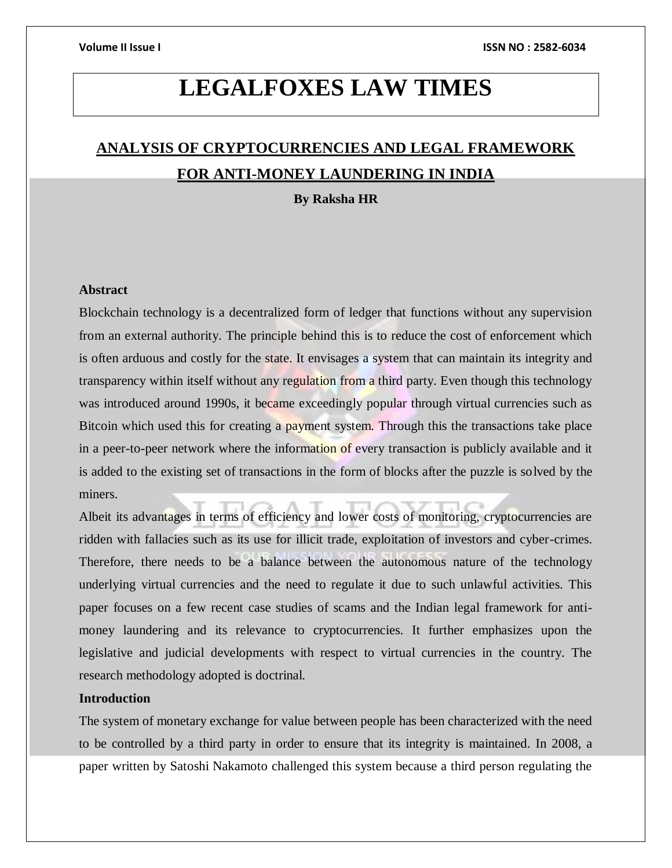# **LEGALFOXES LAW TIMES**

## **ANALYSIS OF CRYPTOCURRENCIES AND LEGAL FRAMEWORK FOR ANTI-MONEY LAUNDERING IN INDIA**

**By Raksha HR**

## **Abstract**

Blockchain technology is a decentralized form of ledger that functions without any supervision from an external authority. The principle behind this is to reduce the cost of enforcement which is often arduous and costly for the state. It envisages a system that can maintain its integrity and transparency within itself without any regulation from a third party. Even though this technology was introduced around 1990s, it became exceedingly popular through virtual currencies such as Bitcoin which used this for creating a payment system. Through this the transactions take place in a peer-to-peer network where the information of every transaction is publicly available and it is added to the existing set of transactions in the form of blocks after the puzzle is solved by the miners.

Albeit its advantages in terms of efficiency and lower costs of monitoring, cryptocurrencies are ridden with fallacies such as its use for illicit trade, exploitation of investors and cyber-crimes. Therefore, there needs to be a balance between the autonomous nature of the technology underlying virtual currencies and the need to regulate it due to such unlawful activities. This paper focuses on a few recent case studies of scams and the Indian legal framework for antimoney laundering and its relevance to cryptocurrencies. It further emphasizes upon the legislative and judicial developments with respect to virtual currencies in the country. The research methodology adopted is doctrinal.

## **Introduction**

The system of monetary exchange for value between people has been characterized with the need to be controlled by a third party in order to ensure that its integrity is maintained. In 2008, a paper written by Satoshi Nakamoto challenged this system because a third person regulating the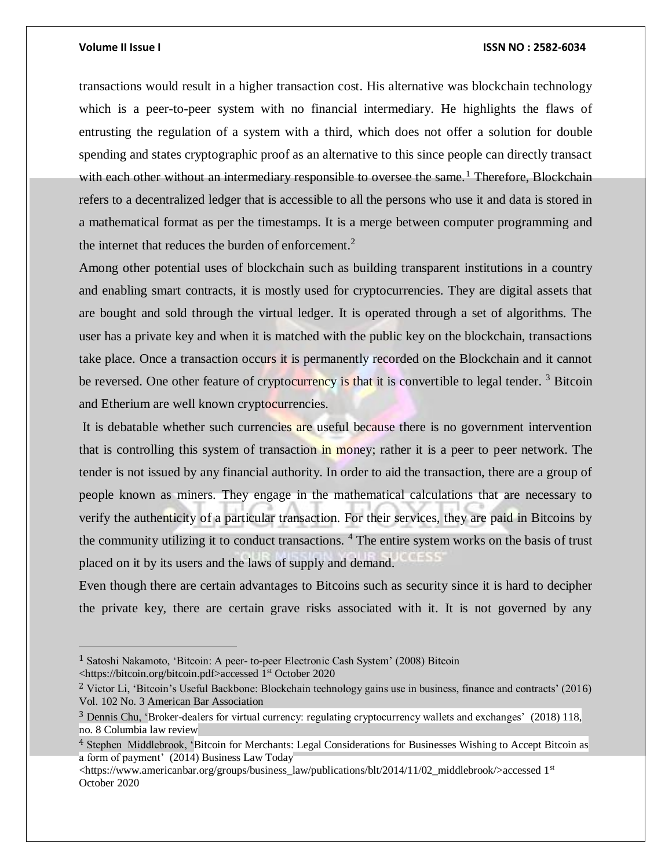$\overline{a}$ 

## **Volume II Issue I ISSN NO : 2582-6034**

transactions would result in a higher transaction cost. His alternative was blockchain technology which is a peer-to-peer system with no financial intermediary. He highlights the flaws of entrusting the regulation of a system with a third, which does not offer a solution for double spending and states cryptographic proof as an alternative to this since people can directly transact with each other without an intermediary responsible to oversee the same.<sup>1</sup> Therefore, Blockchain refers to a decentralized ledger that is accessible to all the persons who use it and data is stored in a mathematical format as per the timestamps. It is a merge between computer programming and the internet that reduces the burden of enforcement.<sup>2</sup>

Among other potential uses of blockchain such as building transparent institutions in a country and enabling smart contracts, it is mostly used for cryptocurrencies. They are digital assets that are bought and sold through the virtual ledger. It is operated through a set of algorithms. The user has a private key and when it is matched with the public key on the blockchain, transactions take place. Once a transaction occurs it is permanently recorded on the Blockchain and it cannot be reversed. One other feature of cryptocurrency is that it is convertible to legal tender.<sup>3</sup> Bitcoin and Etherium are well known cryptocurrencies.

It is debatable whether such currencies are useful because there is no government intervention that is controlling this system of transaction in money; rather it is a peer to peer network. The tender is not issued by any financial authority. In order to aid the transaction, there are a group of people known as miners. They engage in the mathematical calculations that are necessary to verify the authenticity of a particular transaction. For their services, they are paid in Bitcoins by the community utilizing it to conduct transactions. <sup>4</sup> The entire system works on the basis of trust placed on it by its users and the laws of supply and demand.

Even though there are certain advantages to Bitcoins such as security since it is hard to decipher the private key, there are certain grave risks associated with it. It is not governed by any

<sup>1</sup> Satoshi Nakamoto, 'Bitcoin: A peer- to-peer Electronic Cash System' (2008) Bitcoin <https://bitcoin.org/bitcoin.pdf>accessed 1st October 2020

<sup>2</sup> Victor Li, 'Bitcoin's Useful Backbone: Blockchain technology gains use in business, finance and contracts' (2016) Vol. 102 No. 3 American Bar Association

<sup>3</sup> Dennis Chu, 'Broker-dealers for virtual currency: regulating cryptocurrency wallets and exchanges' (2018) 118, no. 8 Columbia law review

<sup>4</sup> Stephen Middlebrook, 'Bitcoin for Merchants: Legal Considerations for Businesses Wishing to Accept Bitcoin as a form of payment' (2014) Business Law Today

<sup>&</sup>lt;https://www.americanbar.org/groups/business\_law/publications/blt/2014/11/02\_middlebrook/>accessed 1st October 2020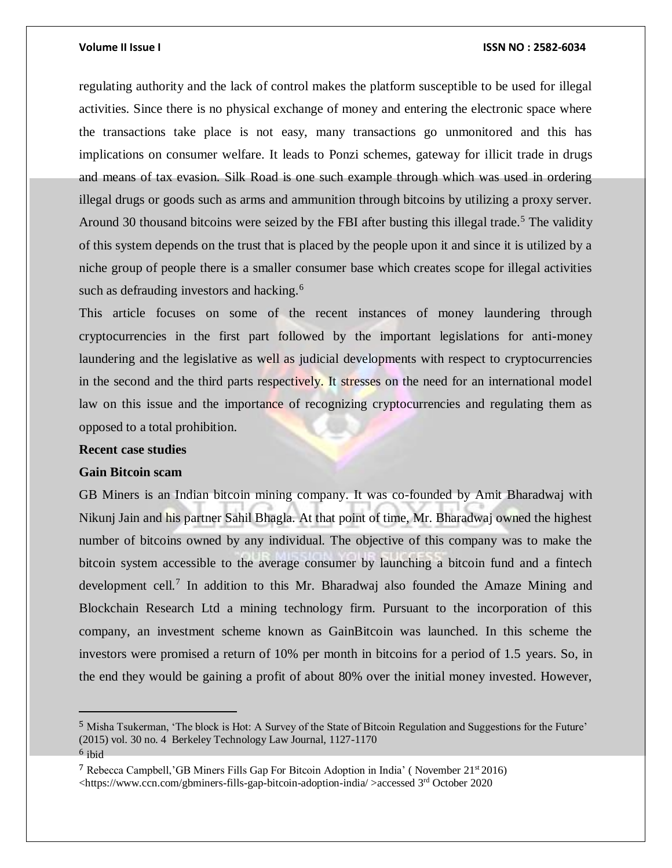regulating authority and the lack of control makes the platform susceptible to be used for illegal activities. Since there is no physical exchange of money and entering the electronic space where the transactions take place is not easy, many transactions go unmonitored and this has implications on consumer welfare. It leads to Ponzi schemes, gateway for illicit trade in drugs and means of tax evasion. Silk Road is one such example through which was used in ordering illegal drugs or goods such as arms and ammunition through bitcoins by utilizing a proxy server. Around 30 thousand bitcoins were seized by the FBI after busting this illegal trade.<sup>5</sup> The validity of this system depends on the trust that is placed by the people upon it and since it is utilized by a niche group of people there is a smaller consumer base which creates scope for illegal activities such as defrauding investors and hacking.<sup>6</sup>

This article focuses on some of the recent instances of money laundering through cryptocurrencies in the first part followed by the important legislations for anti-money laundering and the legislative as well as judicial developments with respect to cryptocurrencies in the second and the third parts respectively. It stresses on the need for an international model law on this issue and the importance of recognizing cryptocurrencies and regulating them as opposed to a total prohibition.

## **Recent case studies**

## **Gain Bitcoin scam**

 $\overline{a}$ 

GB Miners is an Indian bitcoin mining company. It was co-founded by Amit Bharadwaj with Nikunj Jain and his partner Sahil Bhagla. At that point of time, Mr. Bharadwaj owned the highest number of bitcoins owned by any individual. The objective of this company was to make the bitcoin system accessible to the average consumer by launching a bitcoin fund and a fintech development cell.<sup>7</sup> In addition to this Mr. Bharadwaj also founded the Amaze Mining and Blockchain Research Ltd a mining technology firm. Pursuant to the incorporation of this company, an investment scheme known as GainBitcoin was launched. In this scheme the investors were promised a return of 10% per month in bitcoins for a period of 1.5 years. So, in the end they would be gaining a profit of about 80% over the initial money invested. However,

<sup>5</sup> Misha Tsukerman, 'The block is Hot: A Survey of the State of Bitcoin Regulation and Suggestions for the Future' (2015) vol. 30 no. 4 Berkeley Technology Law Journal, 1127-1170 <sup>6</sup> ibid

<sup>&</sup>lt;sup>7</sup> Rebecca Campbell, 'GB Miners Fills Gap For Bitcoin Adoption in India' (November  $21<sup>st</sup>2016$ )  $\lt$ https://www.ccn.com/gbminers-fills-gap-bitcoin-adoption-india/ >accessed 3<sup>rd</sup> October 2020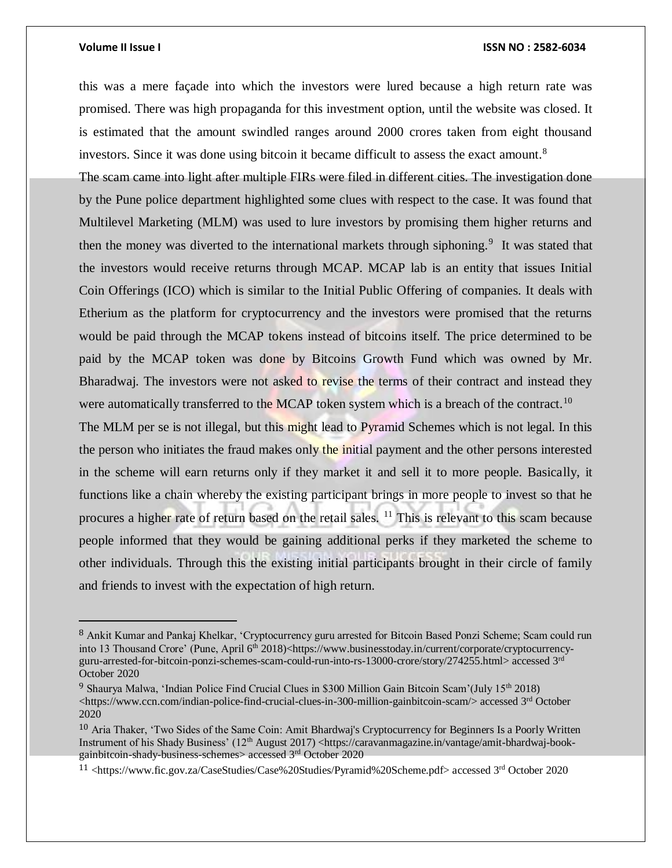$\overline{a}$ 

## **Volume II Issue I ISSN NO : 2582-6034**

this was a mere façade into which the investors were lured because a high return rate was promised. There was high propaganda for this investment option, until the website was closed. It is estimated that the amount swindled ranges around 2000 crores taken from eight thousand investors. Since it was done using bitcoin it became difficult to assess the exact amount.<sup>8</sup>

The scam came into light after multiple FIRs were filed in different cities. The investigation done by the Pune police department highlighted some clues with respect to the case. It was found that Multilevel Marketing (MLM) was used to lure investors by promising them higher returns and then the money was diverted to the international markets through siphoning.<sup>9</sup> It was stated that the investors would receive returns through MCAP. MCAP lab is an entity that issues Initial Coin Offerings (ICO) which is similar to the Initial Public Offering of companies. It deals with Etherium as the platform for cryptocurrency and the investors were promised that the returns would be paid through the MCAP tokens instead of bitcoins itself. The price determined to be paid by the MCAP token was done by Bitcoins Growth Fund which was owned by Mr. Bharadwaj. The investors were not asked to revise the terms of their contract and instead they were automatically transferred to the MCAP token system which is a breach of the contract.<sup>10</sup>

The MLM per se is not illegal, but this might lead to Pyramid Schemes which is not legal. In this the person who initiates the fraud makes only the initial payment and the other persons interested in the scheme will earn returns only if they market it and sell it to more people. Basically, it functions like a chain whereby the existing participant brings in more people to invest so that he procures a higher rate of return based on the retail sales. <sup>11</sup> This is relevant to this scam because people informed that they would be gaining additional perks if they marketed the scheme to other individuals. Through this the existing initial participants brought in their circle of family and friends to invest with the expectation of high return.

<sup>8</sup> Ankit Kumar and Pankaj Khelkar, 'Cryptocurrency guru arrested for Bitcoin Based Ponzi Scheme; Scam could run into 13 Thousand Crore' (Pune, April 6<sup>th</sup> 2018)<https://www.businesstoday.in/current/corporate/cryptocurrencyguru-arrested-for-bitcoin-ponzi-schemes-scam-could-run-into-rs-13000-crore/story/274255.html> accessed 3rd October 2020

<sup>9</sup> Shaurya Malwa, 'Indian Police Find Crucial Clues in \$300 Million Gain Bitcoin Scam'(July 15th 2018) <https://www.ccn.com/indian-police-find-crucial-clues-in-300-million-gainbitcoin-scam/> accessed 3<sup>rd</sup> October 2020

<sup>10</sup> Aria Thaker, 'Two Sides of the Same Coin: Amit Bhardwaj's Cryptocurrency for Beginners Is a Poorly Written Instrument of his Shady Business' (12<sup>th</sup> August 2017) <https://caravanmagazine.in/vantage/amit-bhardwaj-bookgainbitcoin-shady-business-schemes> accessed 3rd October 2020

<sup>11</sup> <https://www.fic.gov.za/CaseStudies/Case%20Studies/Pyramid%20Scheme.pdf> accessed 3rd October 2020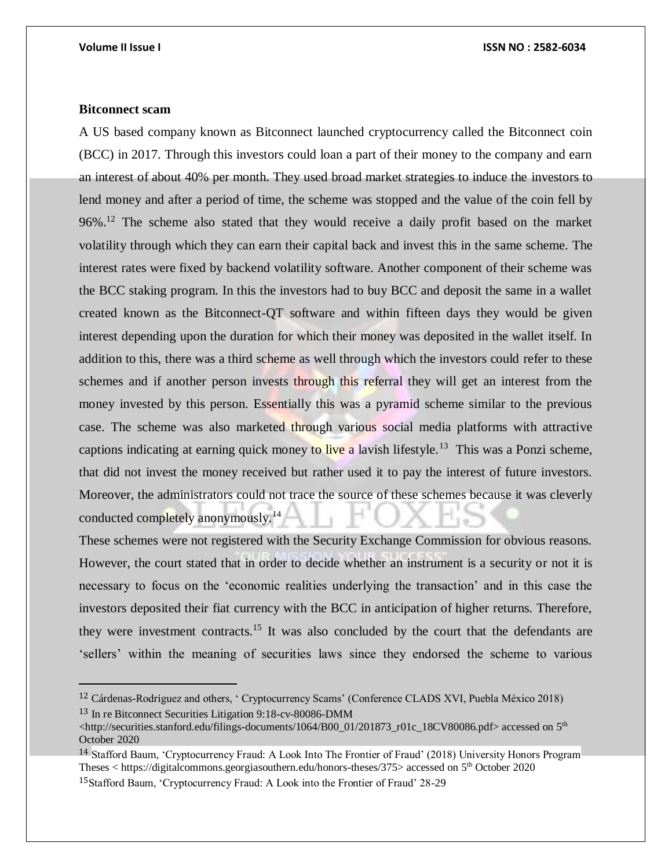## **Bitconnect scam**

 $\overline{a}$ 

A US based company known as Bitconnect launched cryptocurrency called the Bitconnect coin (BCC) in 2017. Through this investors could loan a part of their money to the company and earn an interest of about 40% per month. They used broad market strategies to induce the investors to lend money and after a period of time, the scheme was stopped and the value of the coin fell by 96%.<sup>12</sup> The scheme also stated that they would receive a daily profit based on the market volatility through which they can earn their capital back and invest this in the same scheme. The interest rates were fixed by backend volatility software. Another component of their scheme was the BCC staking program. In this the investors had to buy BCC and deposit the same in a wallet created known as the Bitconnect-QT software and within fifteen days they would be given interest depending upon the duration for which their money was deposited in the wallet itself. In addition to this, there was a third scheme as well through which the investors could refer to these schemes and if another person invests through this referral they will get an interest from the money invested by this person. Essentially this was a pyramid scheme similar to the previous case. The scheme was also marketed through various social media platforms with attractive captions indicating at earning quick money to live a lavish lifestyle.<sup>13</sup> This was a Ponzi scheme, that did not invest the money received but rather used it to pay the interest of future investors. Moreover, the administrators could not trace the source of these schemes because it was cleverly conducted completely anonymously.<sup>14</sup>

These schemes were not registered with the Security Exchange Commission for obvious reasons. However, the court stated that in order to decide whether an instrument is a security or not it is necessary to focus on the 'economic realities underlying the transaction' and in this case the investors deposited their fiat currency with the BCC in anticipation of higher returns. Therefore, they were investment contracts.<sup>15</sup> It was also concluded by the court that the defendants are 'sellers' within the meaning of securities laws since they endorsed the scheme to various

<sup>12</sup> Cárdenas-Rodríguez and others, ' Cryptocurrency Scams' (Conference CLADS XVI, Puebla México 2018) <sup>13</sup> In re Bitconnect Securities Litigation 9:18-cv-80086-DMM

<sup>&</sup>lt;http://securities.stanford.edu/filings-documents/1064/B00\_01/201873\_r01c\_18CV80086.pdf> accessed on 5<sup>th</sup> October 2020

<sup>14</sup> Stafford Baum, 'Cryptocurrency Fraud: A Look Into The Frontier of Fraud' (2018) University Honors Program Theses < https://digitalcommons.georgiasouthern.edu/honors-theses/375> accessed on 5th October 2020 <sup>15</sup>Stafford Baum, 'Cryptocurrency Fraud: A Look into the Frontier of Fraud' 28-29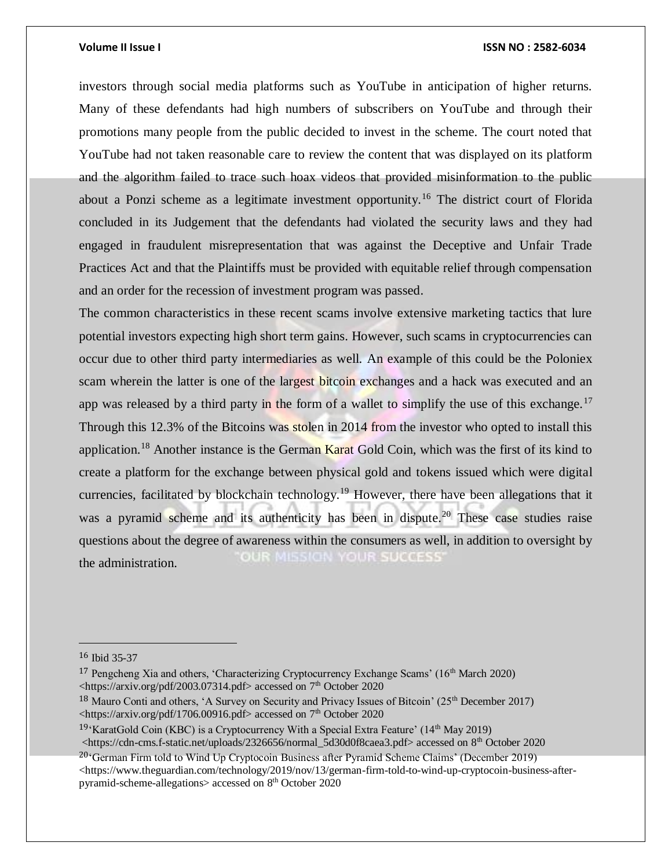investors through social media platforms such as YouTube in anticipation of higher returns. Many of these defendants had high numbers of subscribers on YouTube and through their promotions many people from the public decided to invest in the scheme. The court noted that YouTube had not taken reasonable care to review the content that was displayed on its platform and the algorithm failed to trace such hoax videos that provided misinformation to the public about a Ponzi scheme as a legitimate investment opportunity.<sup>16</sup> The district court of Florida concluded in its Judgement that the defendants had violated the security laws and they had engaged in fraudulent misrepresentation that was against the Deceptive and Unfair Trade Practices Act and that the Plaintiffs must be provided with equitable relief through compensation and an order for the recession of investment program was passed.

The common characteristics in these recent scams involve extensive marketing tactics that lure potential investors expecting high short term gains. However, such scams in cryptocurrencies can occur due to other third party intermediaries as well. An example of this could be the Poloniex scam wherein the latter is one of the largest bitcoin exchanges and a hack was executed and an app was released by a third party in the form of a wallet to simplify the use of this exchange.<sup>17</sup> Through this 12.3% of the Bitcoins was stolen in 2014 from the investor who opted to install this application.<sup>18</sup> Another instance is the German Karat Gold Coin, which was the first of its kind to create a platform for the exchange between physical gold and tokens issued which were digital currencies, facilitated by blockchain technology.<sup>19</sup> However, there have been allegations that it was a pyramid scheme and its authenticity has been in dispute.<sup>20</sup> These case studies raise questions about the degree of awareness within the consumers as well, in addition to oversight by OUR MISSION YOUR SUCCESS' the administration.

 $\overline{a}$ 

<sup>19</sup>'KaratGold Coin (KBC) is a Cryptocurrency With a Special Extra Feature' ( $14<sup>th</sup>$  May 2019)

<https://cdn-cms.f-static.net/uploads/2326656/normal\_5d30d0f8caea3.pdf> accessed on 8<sup>th</sup> October 2020

<sup>20</sup>'German Firm told to Wind Up Cryptocoin Business after Pyramid Scheme Claims' (December 2019)  $\lt$ https://www.theguardian.com/technology/2019/nov/13/german-firm-told-to-wind-up-cryptocoin-business-afterpyramid-scheme-allegations> accessed on 8th October 2020

<sup>16</sup> Ibid 35-37

<sup>&</sup>lt;sup>17</sup> Pengcheng Xia and others, 'Characterizing Cryptocurrency Exchange Scams'  $(16<sup>th</sup>$  March 2020) <https://arxiv.org/pdf/2003.07314.pdf> accessed on 7<sup>th</sup> October 2020

<sup>&</sup>lt;sup>18</sup> Mauro Conti and others, 'A Survey on Security and Privacy Issues of Bitcoin' (25<sup>th</sup> December 2017)  $\lt$ https://arxiv.org/pdf/1706.00916.pdf> accessed on 7<sup>th</sup> October 2020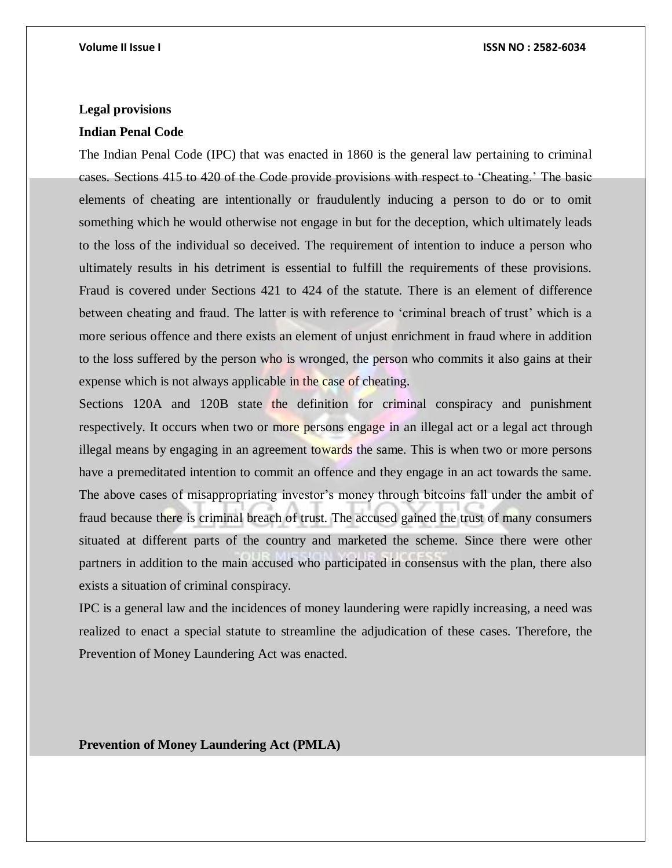## **Legal provisions**

## **Indian Penal Code**

The Indian Penal Code (IPC) that was enacted in 1860 is the general law pertaining to criminal cases. Sections 415 to 420 of the Code provide provisions with respect to 'Cheating.' The basic elements of cheating are intentionally or fraudulently inducing a person to do or to omit something which he would otherwise not engage in but for the deception, which ultimately leads to the loss of the individual so deceived. The requirement of intention to induce a person who ultimately results in his detriment is essential to fulfill the requirements of these provisions. Fraud is covered under Sections 421 to 424 of the statute. There is an element of difference between cheating and fraud. The latter is with reference to 'criminal breach of trust' which is a more serious offence and there exists an element of unjust enrichment in fraud where in addition to the loss suffered by the person who is wronged, the person who commits it also gains at their expense which is not always applicable in the case of cheating.

Sections 120A and 120B state the definition for criminal conspiracy and punishment respectively. It occurs when two or more persons engage in an illegal act or a legal act through illegal means by engaging in an agreement towards the same. This is when two or more persons have a premeditated intention to commit an offence and they engage in an act towards the same. The above cases of misappropriating investor's money through bitcoins fall under the ambit of fraud because there is criminal breach of trust. The accused gained the trust of many consumers situated at different parts of the country and marketed the scheme. Since there were other partners in addition to the main accused who participated in consensus with the plan, there also exists a situation of criminal conspiracy.

IPC is a general law and the incidences of money laundering were rapidly increasing, a need was realized to enact a special statute to streamline the adjudication of these cases. Therefore, the Prevention of Money Laundering Act was enacted.

**Prevention of Money Laundering Act (PMLA)**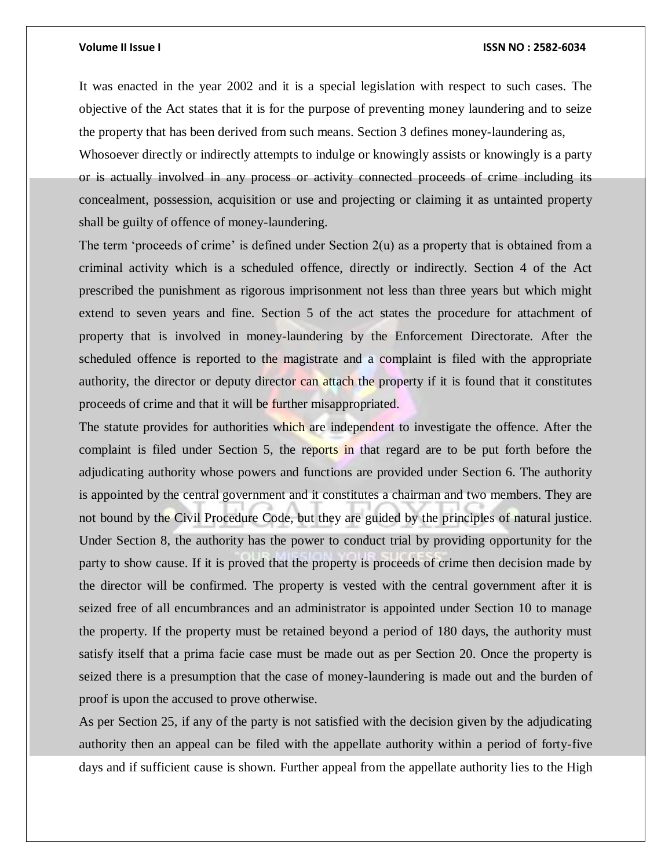It was enacted in the year 2002 and it is a special legislation with respect to such cases. The objective of the Act states that it is for the purpose of preventing money laundering and to seize the property that has been derived from such means. Section 3 defines money-laundering as, Whosoever directly or indirectly attempts to indulge or knowingly assists or knowingly is a party or is actually involved in any process or activity connected proceeds of crime including its concealment, possession, acquisition or use and projecting or claiming it as untainted property shall be guilty of offence of money-laundering.

The term 'proceeds of crime' is defined under Section  $2(u)$  as a property that is obtained from a criminal activity which is a scheduled offence, directly or indirectly. Section 4 of the Act prescribed the punishment as rigorous imprisonment not less than three years but which might extend to seven years and fine. Section 5 of the act states the procedure for attachment of property that is involved in money-laundering by the Enforcement Directorate. After the scheduled offence is reported to the magistrate and a complaint is filed with the appropriate authority, the director or deputy director can attach the property if it is found that it constitutes proceeds of crime and that it will be further misappropriated.

The statute provides for authorities which are independent to investigate the offence. After the complaint is filed under Section 5, the reports in that regard are to be put forth before the adjudicating authority whose powers and functions are provided under Section 6. The authority is appointed by the central government and it constitutes a chairman and two members. They are not bound by the Civil Procedure Code, but they are guided by the principles of natural justice. Under Section 8, the authority has the power to conduct trial by providing opportunity for the party to show cause. If it is proved that the property is proceeds of crime then decision made by the director will be confirmed. The property is vested with the central government after it is seized free of all encumbrances and an administrator is appointed under Section 10 to manage the property. If the property must be retained beyond a period of 180 days, the authority must satisfy itself that a prima facie case must be made out as per Section 20. Once the property is seized there is a presumption that the case of money-laundering is made out and the burden of proof is upon the accused to prove otherwise.

As per Section 25, if any of the party is not satisfied with the decision given by the adjudicating authority then an appeal can be filed with the appellate authority within a period of forty-five days and if sufficient cause is shown. Further appeal from the appellate authority lies to the High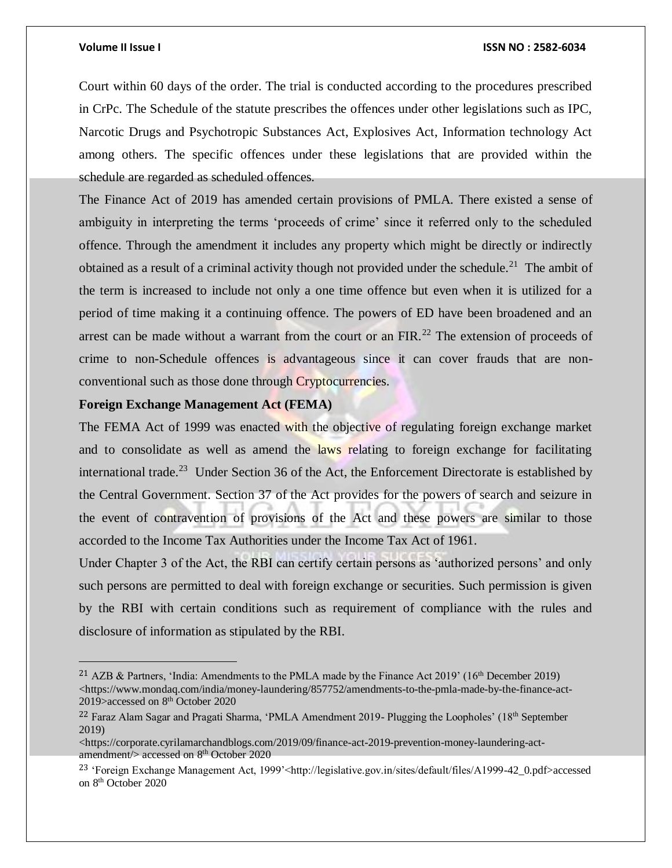$\overline{a}$ 

## **Volume II Issue I ISSN NO : 2582-6034**

Court within 60 days of the order. The trial is conducted according to the procedures prescribed in CrPc. The Schedule of the statute prescribes the offences under other legislations such as IPC, Narcotic Drugs and Psychotropic Substances Act, Explosives Act, Information technology Act among others. The specific offences under these legislations that are provided within the schedule are regarded as scheduled offences.

The Finance Act of 2019 has amended certain provisions of PMLA. There existed a sense of ambiguity in interpreting the terms 'proceeds of crime' since it referred only to the scheduled offence. Through the amendment it includes any property which might be directly or indirectly obtained as a result of a criminal activity though not provided under the schedule.<sup>21</sup> The ambit of the term is increased to include not only a one time offence but even when it is utilized for a period of time making it a continuing offence. The powers of ED have been broadened and an arrest can be made without a warrant from the court or an FIR.<sup>22</sup> The extension of proceeds of crime to non-Schedule offences is advantageous since it can cover frauds that are nonconventional such as those done through Cryptocurrencies.

## **Foreign Exchange Management Act (FEMA)**

The FEMA Act of 1999 was enacted with the objective of regulating foreign exchange market and to consolidate as well as amend the laws relating to foreign exchange for facilitating international trade.<sup>23</sup> Under Section 36 of the Act, the Enforcement Directorate is established by the Central Government. Section 37 of the Act provides for the powers of search and seizure in the event of contravention of provisions of the Act and these powers are similar to those accorded to the Income Tax Authorities under the Income Tax Act of 1961.

Under Chapter 3 of the Act, the RBI can certify certain persons as 'authorized persons' and only such persons are permitted to deal with foreign exchange or securities. Such permission is given by the RBI with certain conditions such as requirement of compliance with the rules and disclosure of information as stipulated by the RBI.

<sup>&</sup>lt;sup>21</sup> AZB & Partners, 'India: Amendments to the PMLA made by the Finance Act 2019' (16<sup>th</sup> December 2019)  $\langle$ https://www.mondaq.com/india/money-laundering/857752/amendments-to-the-pmla-made-by-the-finance-act-2019>accessed on 8<sup>th</sup> October 2020

<sup>&</sup>lt;sup>22</sup> Faraz Alam Sagar and Pragati Sharma, 'PMLA Amendment 2019- Plugging the Loopholes' (18<sup>th</sup> September 2019)

 $\langle$ https://corporate.cyrilamarchandblogs.com/2019/09/finance-act-2019-prevention-money-laundering-actamendment/> accessed on 8<sup>th</sup> October 2020

<sup>&</sup>lt;sup>23</sup> 'Foreign Exchange Management Act, 1999'<http://legislative.gov.in/sites/default/files/A1999-42\_0.pdf>accessed on 8th October 2020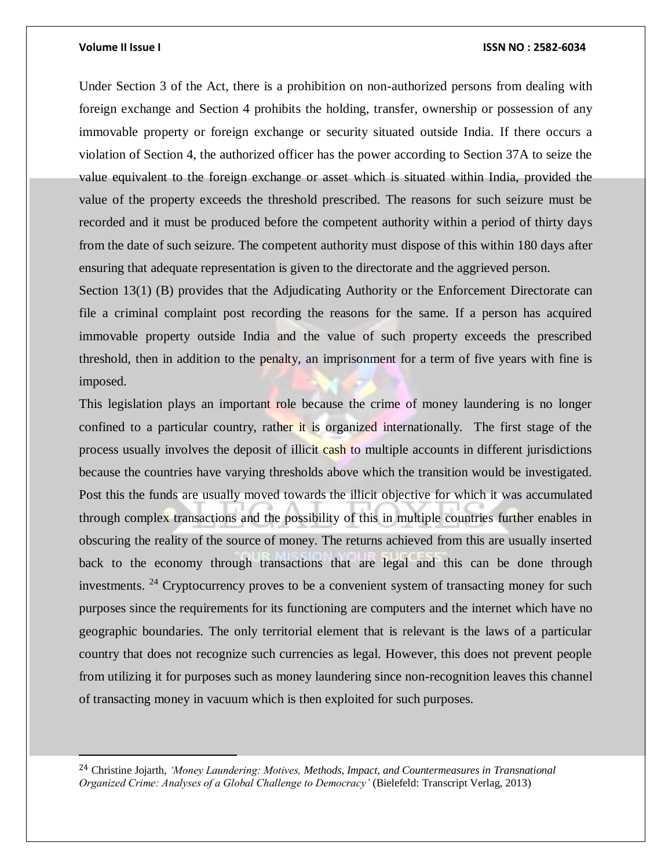$\overline{\phantom{a}}$ 

## **Volume II Issue I ISSN NO : 2582-6034**

Under Section 3 of the Act, there is a prohibition on non-authorized persons from dealing with foreign exchange and Section 4 prohibits the holding, transfer, ownership or possession of any immovable property or foreign exchange or security situated outside India. If there occurs a violation of Section 4, the authorized officer has the power according to Section 37A to seize the value equivalent to the foreign exchange or asset which is situated within India, provided the value of the property exceeds the threshold prescribed. The reasons for such seizure must be recorded and it must be produced before the competent authority within a period of thirty days from the date of such seizure. The competent authority must dispose of this within 180 days after ensuring that adequate representation is given to the directorate and the aggrieved person.

Section 13(1) (B) provides that the Adjudicating Authority or the Enforcement Directorate can file a criminal complaint post recording the reasons for the same. If a person has acquired immovable property outside India and the value of such property exceeds the prescribed threshold, then in addition to the penalty, an imprisonment for a term of five years with fine is imposed.

This legislation plays an important role because the crime of money laundering is no longer confined to a particular country, rather it is organized internationally. The first stage of the process usually involves the deposit of illicit cash to multiple accounts in different jurisdictions because the countries have varying thresholds above which the transition would be investigated. Post this the funds are usually moved towards the illicit objective for which it was accumulated through complex transactions and the possibility of this in multiple countries further enables in obscuring the reality of the source of money. The returns achieved from this are usually inserted back to the economy through transactions that are legal and this can be done through investments. <sup>24</sup> Cryptocurrency proves to be a convenient system of transacting money for such purposes since the requirements for its functioning are computers and the internet which have no geographic boundaries. The only territorial element that is relevant is the laws of a particular country that does not recognize such currencies as legal. However, this does not prevent people from utilizing it for purposes such as money laundering since non-recognition leaves this channel of transacting money in vacuum which is then exploited for such purposes.

<sup>24</sup> Christine Jojarth, *'Money Laundering: Motives, Methods, Impact, and Countermeasures in Transnational Organized Crime: Analyses of a Global Challenge to Democracy'* (Bielefeld: Transcript Verlag, 2013)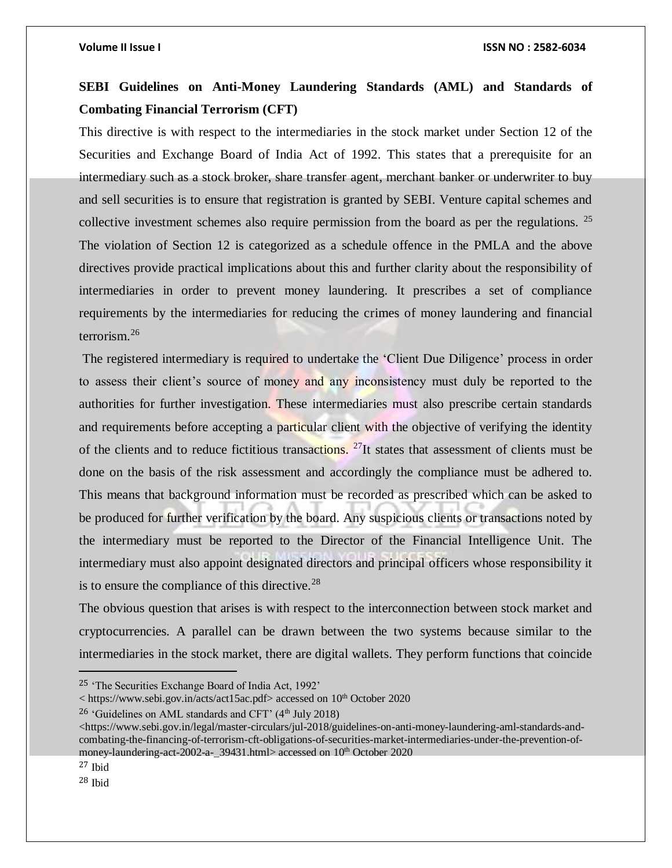## **SEBI Guidelines on Anti-Money Laundering Standards (AML) and Standards of Combating Financial Terrorism (CFT)**

This directive is with respect to the intermediaries in the stock market under Section 12 of the Securities and Exchange Board of India Act of 1992. This states that a prerequisite for an intermediary such as a stock broker, share transfer agent, merchant banker or underwriter to buy and sell securities is to ensure that registration is granted by SEBI. Venture capital schemes and collective investment schemes also require permission from the board as per the regulations. <sup>25</sup> The violation of Section 12 is categorized as a schedule offence in the PMLA and the above directives provide practical implications about this and further clarity about the responsibility of intermediaries in order to prevent money laundering. It prescribes a set of compliance requirements by the intermediaries for reducing the crimes of money laundering and financial terrorism.<sup>26</sup>

The registered intermediary is required to undertake the 'Client Due Diligence' process in order to assess their client's source of money and any inconsistency must duly be reported to the authorities for further investigation. These intermediaries must also prescribe certain standards and requirements before accepting a particular client with the objective of verifying the identity of the clients and to reduce fictitious transactions. <sup>27</sup>It states that assessment of clients must be done on the basis of the risk assessment and accordingly the compliance must be adhered to. This means that background information must be recorded as prescribed which can be asked to be produced for further verification by the board. Any suspicious clients or transactions noted by the intermediary must be reported to the Director of the Financial Intelligence Unit. The intermediary must also appoint designated directors and principal officers whose responsibility it is to ensure the compliance of this directive.<sup>28</sup>

The obvious question that arises is with respect to the interconnection between stock market and cryptocurrencies. A parallel can be drawn between the two systems because similar to the intermediaries in the stock market, there are digital wallets. They perform functions that coincide

< https://www.sebi.gov.in/acts/act15ac.pdf> accessed on 10<sup>th</sup> October 2020

 $\overline{a}$ 

<sup>25</sup> 'The Securities Exchange Board of India Act, 1992'

<sup>&</sup>lt;sup>26</sup> 'Guidelines on AML standards and CFT'  $(4<sup>th</sup>$  July 2018)

<sup>&</sup>lt;https://www.sebi.gov.in/legal/master-circulars/jul-2018/guidelines-on-anti-money-laundering-aml-standards-andcombating-the-financing-of-terrorism-cft-obligations-of-securities-market-intermediaries-under-the-prevention-ofmoney-laundering-act-2002-a-\_39431.html> accessed on 10<sup>th</sup> October 2020

 $27$  Ibid

 $28$  Ibid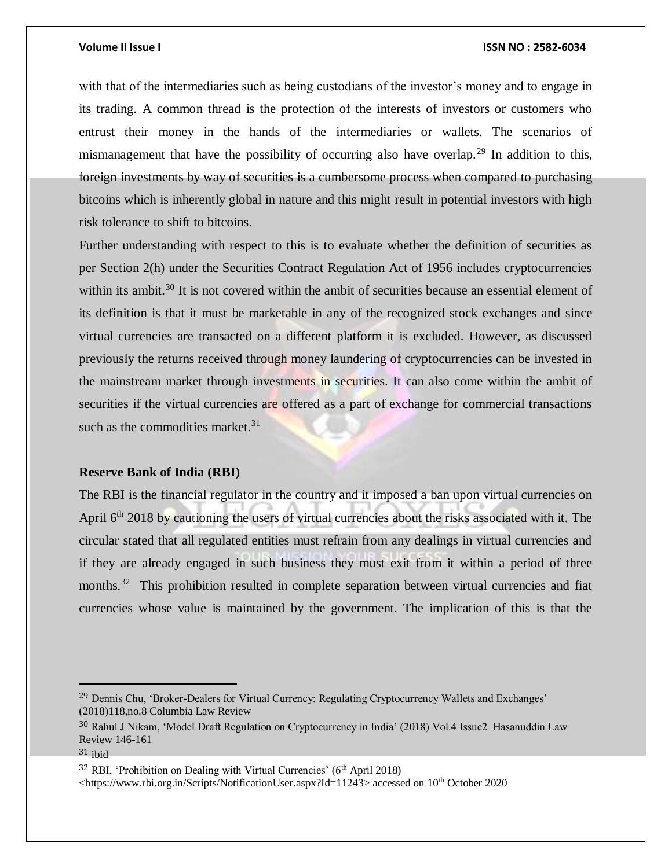with that of the intermediaries such as being custodians of the investor's money and to engage in its trading. A common thread is the protection of the interests of investors or customers who entrust their money in the hands of the intermediaries or wallets. The scenarios of mismanagement that have the possibility of occurring also have overlap.<sup>29</sup> In addition to this, foreign investments by way of securities is a cumbersome process when compared to purchasing bitcoins which is inherently global in nature and this might result in potential investors with high risk tolerance to shift to bitcoins.

Further understanding with respect to this is to evaluate whether the definition of securities as per Section 2(h) under the Securities Contract Regulation Act of 1956 includes cryptocurrencies within its ambit.<sup>30</sup> It is not covered within the ambit of securities because an essential element of its definition is that it must be marketable in any of the recognized stock exchanges and since virtual currencies are transacted on a different platform it is excluded. However, as discussed previously the returns received through money laundering of cryptocurrencies can be invested in the mainstream market through investments in securities. It can also come within the ambit of securities if the virtual currencies are offered as a part of exchange for commercial transactions such as the commodities market. $31$ 

## **Reserve Bank of India (RBI)**

The RBI is the financial regulator in the country and it imposed a ban upon virtual currencies on April 6<sup>th</sup> 2018 by cautioning the users of virtual currencies about the risks associated with it. The circular stated that all regulated entities must refrain from any dealings in virtual currencies and if they are already engaged in such business they must exit from it within a period of three months.<sup>32</sup> This prohibition resulted in complete separation between virtual currencies and fiat currencies whose value is maintained by the government. The implication of this is that the

 $\overline{a}$ 

 $32$  RBI, 'Prohibition on Dealing with Virtual Currencies' ( $6<sup>th</sup>$  April 2018) <https://www.rbi.org.in/Scripts/NotificationUser.aspx?Id=11243> accessed on 10th October 2020

<sup>&</sup>lt;sup>29</sup> Dennis Chu, 'Broker-Dealers for Virtual Currency: Regulating Cryptocurrency Wallets and Exchanges' (2018)118,no.8 Columbia Law Review

<sup>30</sup> Rahul J Nikam, 'Model Draft Regulation on Cryptocurrency in India' (2018) Vol.4 Issue2 Hasanuddin Law Review 146-161

<sup>31</sup> ibid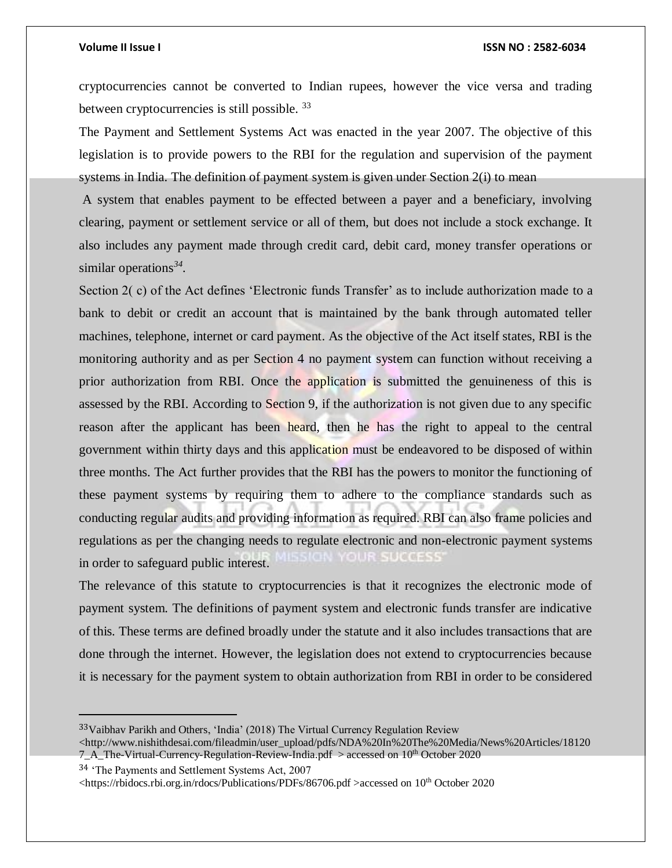cryptocurrencies cannot be converted to Indian rupees, however the vice versa and trading between cryptocurrencies is still possible. <sup>33</sup>

The Payment and Settlement Systems Act was enacted in the year 2007. The objective of this legislation is to provide powers to the RBI for the regulation and supervision of the payment systems in India. The definition of payment system is given under Section 2(i) to mean

A system that enables payment to be effected between a payer and a beneficiary, involving clearing, payment or settlement service or all of them, but does not include a stock exchange. It also includes any payment made through credit card, debit card, money transfer operations or similar operations*<sup>34</sup> .* 

Section 2(c) of the Act defines 'Electronic funds Transfer' as to include authorization made to a bank to debit or credit an account that is maintained by the bank through automated teller machines, telephone, internet or card payment. As the objective of the Act itself states, RBI is the monitoring authority and as per Section 4 no payment system can function without receiving a prior authorization from RBI. Once the application is submitted the genuineness of this is assessed by the RBI. According to Section 9, if the authorization is not given due to any specific reason after the applicant has been heard, then he has the right to appeal to the central government within thirty days and this application must be endeavored to be disposed of within three months. The Act further provides that the RBI has the powers to monitor the functioning of these payment systems by requiring them to adhere to the compliance standards such as conducting regular audits and providing information as required. RBI can also frame policies and regulations as per the changing needs to regulate electronic and non-electronic payment systems **B.78 0065555** in order to safeguard public interest.

The relevance of this statute to cryptocurrencies is that it recognizes the electronic mode of payment system. The definitions of payment system and electronic funds transfer are indicative of this. These terms are defined broadly under the statute and it also includes transactions that are done through the internet. However, the legislation does not extend to cryptocurrencies because it is necessary for the payment system to obtain authorization from RBI in order to be considered

<sup>34</sup> 'The Payments and Settlement Systems Act, 2007

 $\overline{a}$ 

<sup>33</sup>Vaibhav Parikh and Others, 'India' (2018) The Virtual Currency Regulation Review

<sup>&</sup>lt;http://www.nishithdesai.com/fileadmin/user\_upload/pdfs/NDA%20In%20The%20Media/News%20Articles/18120 7\_A\_The-Virtual-Currency-Regulation-Review-India.pdf > accessed on 10<sup>th</sup> October 2020

<sup>&</sup>lt;https://rbidocs.rbi.org.in/rdocs/Publications/PDFs/86706.pdf >accessed on 10th October 2020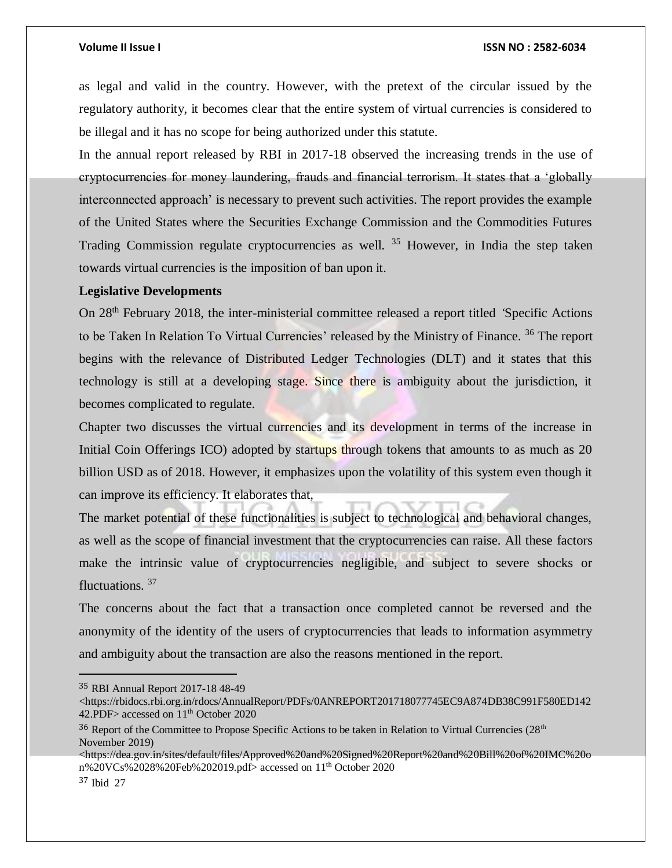as legal and valid in the country. However, with the pretext of the circular issued by the regulatory authority, it becomes clear that the entire system of virtual currencies is considered to be illegal and it has no scope for being authorized under this statute.

In the annual report released by RBI in 2017-18 observed the increasing trends in the use of cryptocurrencies for money laundering, frauds and financial terrorism. It states that a 'globally interconnected approach' is necessary to prevent such activities. The report provides the example of the United States where the Securities Exchange Commission and the Commodities Futures Trading Commission regulate cryptocurrencies as well.  $35$  However, in India the step taken towards virtual currencies is the imposition of ban upon it.

## **Legislative Developments**

On 28th February 2018, the inter-ministerial committee released a report titled *'*Specific Actions to be Taken In Relation To Virtual Currencies' released by the Ministry of Finance. <sup>36</sup> The report begins with the relevance of Distributed Ledger Technologies (DLT) and it states that this technology is still at a developing stage. Since there is ambiguity about the jurisdiction, it becomes complicated to regulate.

Chapter two discusses the virtual currencies and its development in terms of the increase in Initial Coin Offerings ICO) adopted by startups through tokens that amounts to as much as 20 billion USD as of 2018. However, it emphasizes upon the volatility of this system even though it can improve its efficiency. It elaborates that,

The market potential of these functionalities is subject to technological and behavioral changes, as well as the scope of financial investment that the cryptocurrencies can raise. All these factors make the intrinsic value of cryptocurrencies negligible, and subject to severe shocks or fluctuations. <sup>37</sup>

The concerns about the fact that a transaction once completed cannot be reversed and the anonymity of the identity of the users of cryptocurrencies that leads to information asymmetry and ambiguity about the transaction are also the reasons mentioned in the report.

 $\overline{a}$ 

<sup>35</sup> RBI Annual Report 2017-18 48-49

<sup>&</sup>lt;https://rbidocs.rbi.org.in/rdocs/AnnualReport/PDFs/0ANREPORT201718077745EC9A874DB38C991F580ED142 42.PDF> accessed on  $11<sup>th</sup>$  October 2020

 $36$  Report of the Committee to Propose Specific Actions to be taken in Relation to Virtual Currencies ( $28<sup>th</sup>$ November 2019)

<sup>&</sup>lt;https://dea.gov.in/sites/default/files/Approved%20and%20Signed%20Report%20and%20Bill%20of%20IMC%20o n%20VCs%2028%20Feb%202019.pdf> accessed on 11th October 2020

<sup>37</sup> Ibid 27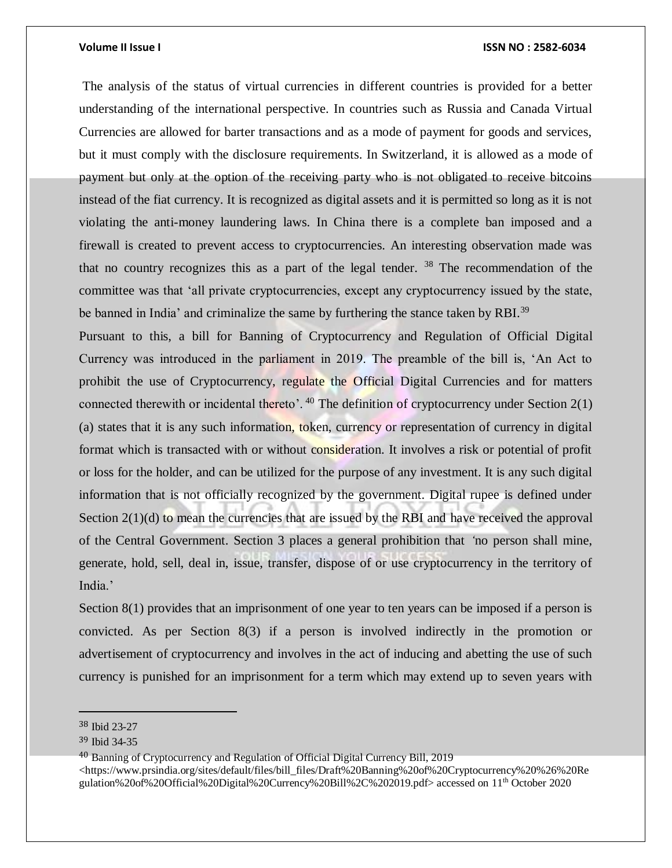The analysis of the status of virtual currencies in different countries is provided for a better understanding of the international perspective. In countries such as Russia and Canada Virtual Currencies are allowed for barter transactions and as a mode of payment for goods and services, but it must comply with the disclosure requirements. In Switzerland, it is allowed as a mode of payment but only at the option of the receiving party who is not obligated to receive bitcoins instead of the fiat currency. It is recognized as digital assets and it is permitted so long as it is not violating the anti-money laundering laws. In China there is a complete ban imposed and a firewall is created to prevent access to cryptocurrencies. An interesting observation made was that no country recognizes this as a part of the legal tender.  $38$  The recommendation of the committee was that 'all private cryptocurrencies, except any cryptocurrency issued by the state, be banned in India' and criminalize the same by furthering the stance taken by RBI.<sup>39</sup>

Pursuant to this, a bill for Banning of Cryptocurrency and Regulation of Official Digital Currency was introduced in the parliament in 2019. The preamble of the bill is, 'An Act to prohibit the use of Cryptocurrency, regulate the Official Digital Currencies and for matters connected therewith or incidental thereto'.  $40$  The definition of cryptocurrency under Section 2(1) (a) states that it is any such information, token, currency or representation of currency in digital format which is transacted with or without consideration. It involves a risk or potential of profit or loss for the holder, and can be utilized for the purpose of any investment. It is any such digital information that is not officially recognized by the government. Digital rupee is defined under Section  $2(1)(d)$  to mean the currencies that are issued by the RBI and have received the approval of the Central Government. Section 3 places a general prohibition that *'*no person shall mine, generate, hold, sell, deal in, issue, transfer, dispose of or use cryptocurrency in the territory of India.'

Section 8(1) provides that an imprisonment of one year to ten years can be imposed if a person is convicted. As per Section 8(3) if a person is involved indirectly in the promotion or advertisement of cryptocurrency and involves in the act of inducing and abetting the use of such currency is punished for an imprisonment for a term which may extend up to seven years with

<sup>38</sup> Ibid 23-27

<sup>39</sup> Ibid 34-35

<sup>&</sup>lt;sup>40</sup> Banning of Cryptocurrency and Regulation of Official Digital Currency Bill, 2019 <https://www.prsindia.org/sites/default/files/bill\_files/Draft%20Banning%20of%20Cryptocurrency%20%26%20Re gulation%20of%20Official%20Digital%20Currency%20Bill%2C%202019.pdf> accessed on 11th October 2020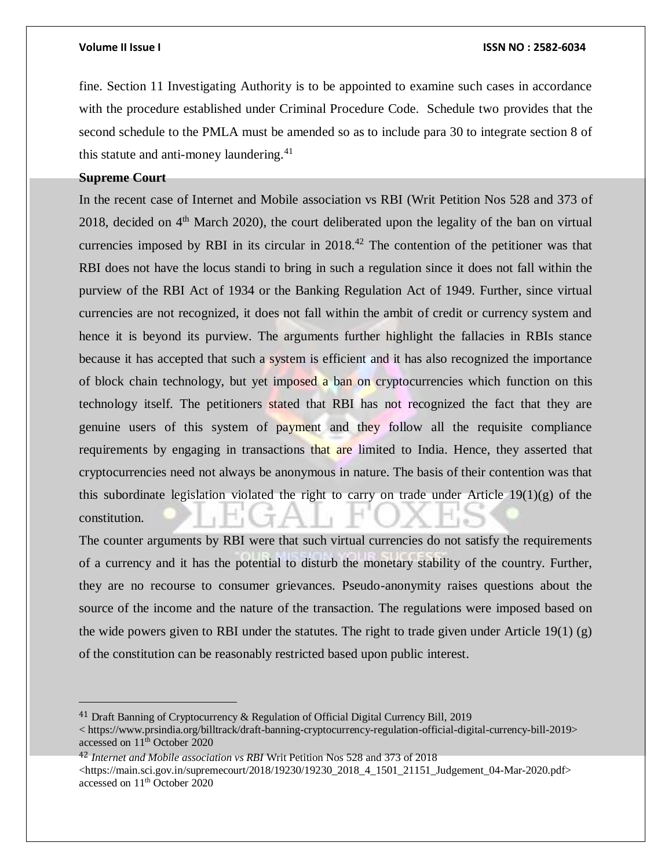fine. Section 11 Investigating Authority is to be appointed to examine such cases in accordance with the procedure established under Criminal Procedure Code. Schedule two provides that the second schedule to the PMLA must be amended so as to include para 30 to integrate section 8 of this statute and anti-money laundering.<sup>41</sup>

## **Supreme Court**

In the recent case of Internet and Mobile association vs RBI (Writ Petition Nos 528 and 373 of 2018, decided on  $4<sup>th</sup>$  March 2020), the court deliberated upon the legality of the ban on virtual currencies imposed by RBI in its circular in  $2018<sup>42</sup>$  The contention of the petitioner was that RBI does not have the locus standi to bring in such a regulation since it does not fall within the purview of the RBI Act of 1934 or the Banking Regulation Act of 1949. Further, since virtual currencies are not recognized, it does not fall within the ambit of credit or currency system and hence it is beyond its purview. The arguments further highlight the fallacies in RBIs stance because it has accepted that such a system is efficient and it has also recognized the importance of block chain technology, but yet imposed a ban on cryptocurrencies which function on this technology itself. The petitioners stated that RBI has not recognized the fact that they are genuine users of this system of payment and they follow all the requisite compliance requirements by engaging in transactions that are limited to India. Hence, they asserted that cryptocurrencies need not always be anonymous in nature. The basis of their contention was that this subordinate legislation violated the right to carry on trade under Article  $19(1)(g)$  of the constitution.

The counter arguments by RBI were that such virtual currencies do not satisfy the requirements of a currency and it has the potential to disturb the monetary stability of the country. Further, they are no recourse to consumer grievances. Pseudo-anonymity raises questions about the source of the income and the nature of the transaction. The regulations were imposed based on the wide powers given to RBI under the statutes. The right to trade given under Article  $19(1)(g)$ of the constitution can be reasonably restricted based upon public interest.

<sup>41</sup> Draft Banning of Cryptocurrency & Regulation of Official Digital Currency Bill, 2019

<sup>&</sup>lt; https://www.prsindia.org/billtrack/draft-banning-cryptocurrency-regulation-official-digital-currency-bill-2019> accessed on 11<sup>th</sup> October 2020

<sup>42</sup> *Internet and Mobile association vs RBI* Writ Petition Nos 528 and 373 of 2018

<sup>&</sup>lt;https://main.sci.gov.in/supremecourt/2018/19230/19230\_2018\_4\_1501\_21151\_Judgement\_04-Mar-2020.pdf> accessed on 11th October 2020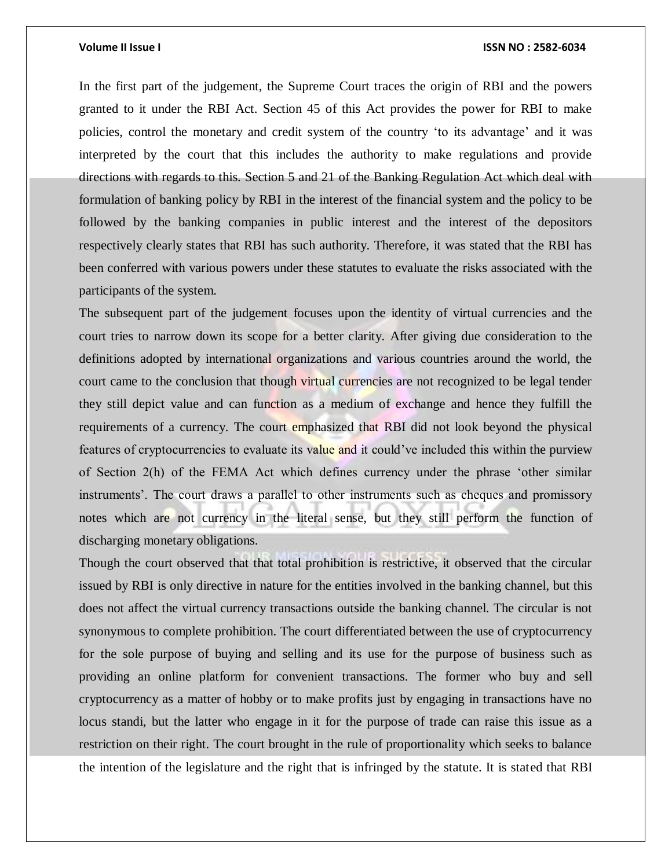In the first part of the judgement, the Supreme Court traces the origin of RBI and the powers granted to it under the RBI Act. Section 45 of this Act provides the power for RBI to make policies, control the monetary and credit system of the country 'to its advantage' and it was interpreted by the court that this includes the authority to make regulations and provide directions with regards to this. Section 5 and 21 of the Banking Regulation Act which deal with formulation of banking policy by RBI in the interest of the financial system and the policy to be followed by the banking companies in public interest and the interest of the depositors respectively clearly states that RBI has such authority. Therefore, it was stated that the RBI has been conferred with various powers under these statutes to evaluate the risks associated with the participants of the system.

The subsequent part of the judgement focuses upon the identity of virtual currencies and the court tries to narrow down its scope for a better clarity. After giving due consideration to the definitions adopted by international organizations and various countries around the world, the court came to the conclusion that though virtual currencies are not recognized to be legal tender they still depict value and can function as a medium of exchange and hence they fulfill the requirements of a currency. The court emphasized that RBI did not look beyond the physical features of cryptocurrencies to evaluate its value and it could've included this within the purview of Section 2(h) of the FEMA Act which defines currency under the phrase 'other similar instruments'. The court draws a parallel to other instruments such as cheques and promissory notes which are not currency in the literal sense, but they still perform the function of discharging monetary obligations.

Though the court observed that that total prohibition is restrictive, it observed that the circular issued by RBI is only directive in nature for the entities involved in the banking channel, but this does not affect the virtual currency transactions outside the banking channel. The circular is not synonymous to complete prohibition. The court differentiated between the use of cryptocurrency for the sole purpose of buying and selling and its use for the purpose of business such as providing an online platform for convenient transactions. The former who buy and sell cryptocurrency as a matter of hobby or to make profits just by engaging in transactions have no locus standi, but the latter who engage in it for the purpose of trade can raise this issue as a restriction on their right. The court brought in the rule of proportionality which seeks to balance the intention of the legislature and the right that is infringed by the statute. It is stated that RBI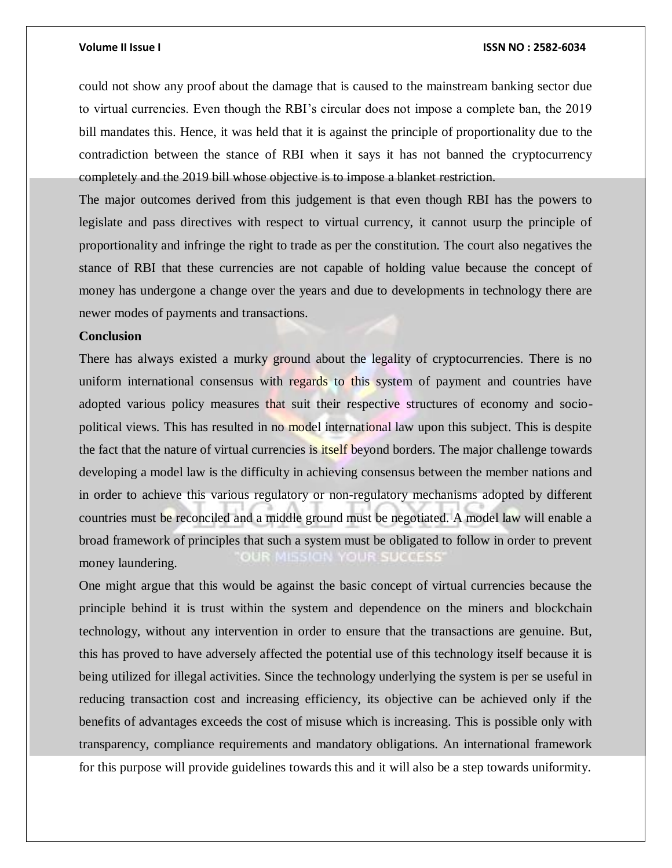could not show any proof about the damage that is caused to the mainstream banking sector due to virtual currencies. Even though the RBI's circular does not impose a complete ban, the 2019 bill mandates this. Hence, it was held that it is against the principle of proportionality due to the contradiction between the stance of RBI when it says it has not banned the cryptocurrency completely and the 2019 bill whose objective is to impose a blanket restriction.

The major outcomes derived from this judgement is that even though RBI has the powers to legislate and pass directives with respect to virtual currency, it cannot usurp the principle of proportionality and infringe the right to trade as per the constitution. The court also negatives the stance of RBI that these currencies are not capable of holding value because the concept of money has undergone a change over the years and due to developments in technology there are newer modes of payments and transactions.

## **Conclusion**

There has always existed a murky ground about the legality of cryptocurrencies. There is no uniform international consensus with regards to this system of payment and countries have adopted various policy measures that suit their respective structures of economy and sociopolitical views. This has resulted in no model international law upon this subject. This is despite the fact that the nature of virtual currencies is *itself* beyond borders. The major challenge towards developing a model law is the difficulty in achieving consensus between the member nations and in order to achieve this various regulatory or non-regulatory mechanisms adopted by different countries must be reconciled and a middle ground must be negotiated. A model law will enable a broad framework of principles that such a system must be obligated to follow in order to prevent **UR SUCCESS** OUR MISSION money laundering.

One might argue that this would be against the basic concept of virtual currencies because the principle behind it is trust within the system and dependence on the miners and blockchain technology, without any intervention in order to ensure that the transactions are genuine. But, this has proved to have adversely affected the potential use of this technology itself because it is being utilized for illegal activities. Since the technology underlying the system is per se useful in reducing transaction cost and increasing efficiency, its objective can be achieved only if the benefits of advantages exceeds the cost of misuse which is increasing. This is possible only with transparency, compliance requirements and mandatory obligations. An international framework for this purpose will provide guidelines towards this and it will also be a step towards uniformity.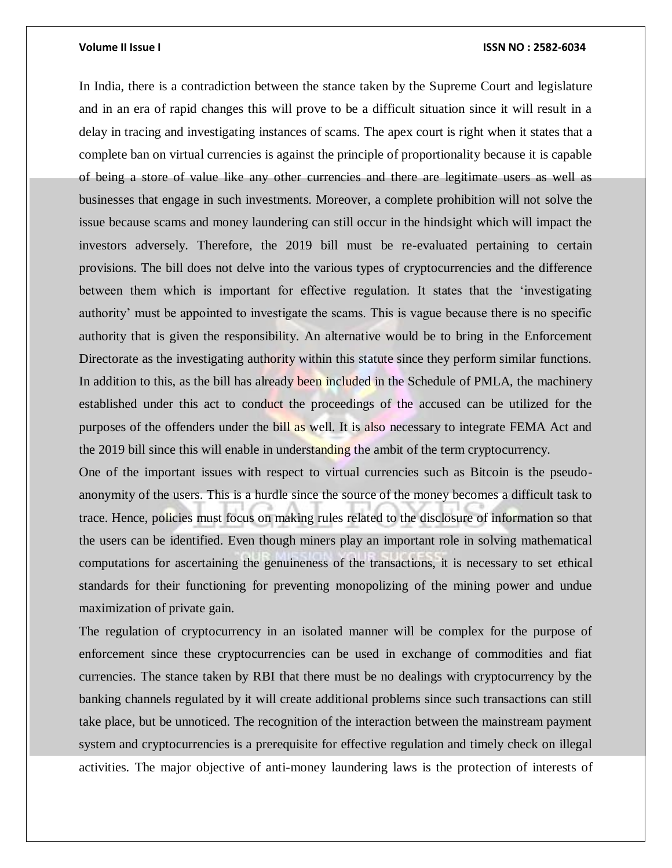In India, there is a contradiction between the stance taken by the Supreme Court and legislature and in an era of rapid changes this will prove to be a difficult situation since it will result in a delay in tracing and investigating instances of scams. The apex court is right when it states that a complete ban on virtual currencies is against the principle of proportionality because it is capable of being a store of value like any other currencies and there are legitimate users as well as businesses that engage in such investments. Moreover, a complete prohibition will not solve the issue because scams and money laundering can still occur in the hindsight which will impact the investors adversely. Therefore, the 2019 bill must be re-evaluated pertaining to certain provisions. The bill does not delve into the various types of cryptocurrencies and the difference between them which is important for effective regulation. It states that the 'investigating authority' must be appointed to investigate the scams. This is vague because there is no specific authority that is given the responsibility. An alternative would be to bring in the Enforcement Directorate as the investigating authority within this statute since they perform similar functions. In addition to this, as the bill has already been included in the Schedule of PMLA, the machinery established under this act to conduct the proceedings of the accused can be utilized for the purposes of the offenders under the bill as well. It is also necessary to integrate FEMA Act and the 2019 bill since this will enable in understanding the ambit of the term cryptocurrency.

One of the important issues with respect to virtual currencies such as Bitcoin is the pseudoanonymity of the users. This is a hurdle since the source of the money becomes a difficult task to trace. Hence, policies must focus on making rules related to the disclosure of information so that the users can be identified. Even though miners play an important role in solving mathematical computations for ascertaining the genuineness of the transactions, it is necessary to set ethical standards for their functioning for preventing monopolizing of the mining power and undue maximization of private gain.

The regulation of cryptocurrency in an isolated manner will be complex for the purpose of enforcement since these cryptocurrencies can be used in exchange of commodities and fiat currencies. The stance taken by RBI that there must be no dealings with cryptocurrency by the banking channels regulated by it will create additional problems since such transactions can still take place, but be unnoticed. The recognition of the interaction between the mainstream payment system and cryptocurrencies is a prerequisite for effective regulation and timely check on illegal activities. The major objective of anti-money laundering laws is the protection of interests of